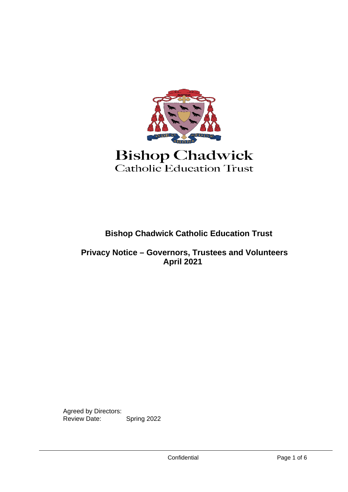

# **Bishop Chadwick** Catholic Education Trust

# **Bishop Chadwick Catholic Education Trust**

#### **Privacy Notice – Governors, Trustees and Volunteers April 2021**

Agreed by Directors: Review Date: Spring 2022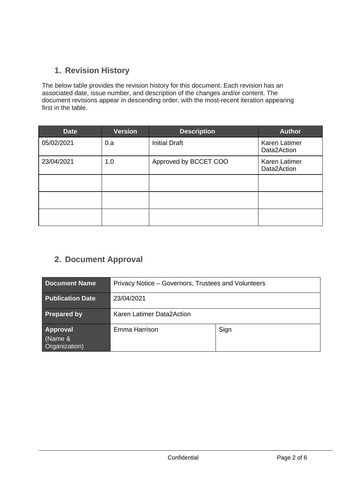# **1. Revision History**

The below table provides the revision history for this document. Each revision has an associated date, issue number, and description of the changes and/or content. The document revisions appear in descending order, with the most-recent iteration appearing first in the table.

| <b>Date</b> | <b>Version</b> | <b>Description</b>    | <b>Author</b>                       |
|-------------|----------------|-----------------------|-------------------------------------|
| 05/02/2021  | 0.a            | <b>Initial Draft</b>  | <b>Karen Latimer</b><br>Data2Action |
| 23/04/2021  | 1.0            | Approved by BCCET COO | <b>Karen Latimer</b><br>Data2Action |
|             |                |                       |                                     |
|             |                |                       |                                     |
|             |                |                       |                                     |

# **2. Document Approval**

| <b>Document Name</b>                        | Privacy Notice - Governors, Trustees and Volunteers |      |  |
|---------------------------------------------|-----------------------------------------------------|------|--|
| <b>Publication Date</b>                     | 23/04/2021                                          |      |  |
| <b>Prepared by</b>                          | Karen Latimer Data2Action                           |      |  |
| <b>Approval</b><br>(Name &<br>Organization) | Emma Harrison                                       | Sign |  |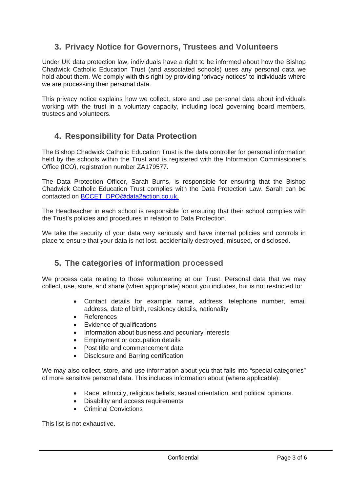## **3. Privacy Notice for Governors, Trustees and Volunteers**

Under UK data protection law, individuals have a right to be informed about how the Bishop Chadwick Catholic Education Trust (and associated schools) uses any personal data we hold about them. We comply with this right by providing 'privacy notices' to individuals where we are processing their personal data.

This privacy notice explains how we collect, store and use personal data about individuals working with the trust in a voluntary capacity, including local governing board members, trustees and volunteers.

#### **4. Responsibility for Data Protection**

The Bishop Chadwick Catholic Education Trust is the data controller for personal information held by the schools within the Trust and is registered with the Information Commissioner's Office (ICO), registration number ZA179577.

The Data Protection Officer, Sarah Burns, is responsible for ensuring that the Bishop Chadwick Catholic Education Trust complies with the Data Protection Law. Sarah can be contacted on [BCCET\\_DPO@data2action.co.uk.](mailto:BCCET_DPO@data2action.co.uk)

The Headteacher in each school is responsible for ensuring that their school complies with the Trust's policies and procedures in relation to Data Protection.

We take the security of your data very seriously and have internal policies and controls in place to ensure that your data is not lost, accidentally destroyed, misused, or disclosed.

#### **5. The categories of information processed**

We process data relating to those volunteering at our Trust. Personal data that we may collect, use, store, and share (when appropriate) about you includes, but is not restricted to:

- Contact details for example name, address, telephone number, email address, date of birth, residency details, nationality
- **References**
- Evidence of qualifications
- Information about business and pecuniary interests
- Employment or occupation details
- Post title and commencement date
- Disclosure and Barring certification

We may also collect, store, and use information about you that falls into "special categories" of more sensitive personal data. This includes information about (where applicable):

- Race, ethnicity, religious beliefs, sexual orientation, and political opinions.
- Disability and access requirements
- Criminal Convictions

This list is not exhaustive.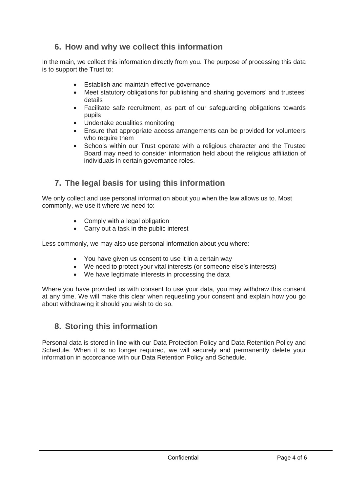## **6. How and why we collect this information**

In the main, we collect this information directly from you. The purpose of processing this data is to support the Trust to:

- Establish and maintain effective governance
- Meet statutory obligations for publishing and sharing governors' and trustees' details
- Facilitate safe recruitment, as part of our safeguarding obligations towards pupils
- Undertake equalities monitoring
- Ensure that appropriate access arrangements can be provided for volunteers who require them
- Schools within our Trust operate with a religious character and the Trustee Board may need to consider information held about the religious affiliation of individuals in certain governance roles.

# **7. The legal basis for using this information**

We only collect and use personal information about you when the law allows us to. Most commonly, we use it where we need to:

- Comply with a legal obligation
- Carry out a task in the public interest

Less commonly, we may also use personal information about you where:

- You have given us consent to use it in a certain way
- We need to protect your vital interests (or someone else's interests)
- We have legitimate interests in processing the data

Where you have provided us with consent to use your data, you may withdraw this consent at any time. We will make this clear when requesting your consent and explain how you go about withdrawing it should you wish to do so.

#### **8. Storing this information**

Personal data is stored in line with our Data Protection Policy and Data Retention Policy and Schedule. When it is no longer required, we will securely and permanently delete your information in accordance with our Data Retention Policy and Schedule.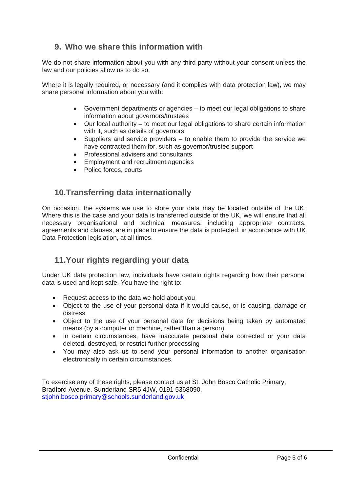## **9. Who we share this information with**

We do not share information about you with any third party without your consent unless the law and our policies allow us to do so.

Where it is legally required, or necessary (and it complies with data protection law), we may share personal information about you with:

- Government departments or agencies to meet our legal obligations to share information about governors/trustees
- Our local authority to meet our legal obligations to share certain information with it, such as details of governors
- Suppliers and service providers to enable them to provide the service we have contracted them for, such as governor/trustee support
- Professional advisers and consultants
- Employment and recruitment agencies
- Police forces, courts

#### **10.Transferring data internationally**

On occasion, the systems we use to store your data may be located outside of the UK. Where this is the case and your data is transferred outside of the UK, we will ensure that all necessary organisational and technical measures, including appropriate contracts, agreements and clauses, are in place to ensure the data is protected, in accordance with UK Data Protection legislation, at all times.

#### **11.Your rights regarding your data**

Under UK data protection law, individuals have certain rights regarding how their personal data is used and kept safe. You have the right to:

- Request access to the data we hold about you
- Object to the use of your personal data if it would cause, or is causing, damage or distress
- Object to the use of your personal data for decisions being taken by automated means (by a computer or machine, rather than a person)
- In certain circumstances, have inaccurate personal data corrected or your data deleted, destroyed, or restrict further processing
- You may also ask us to send your personal information to another organisation electronically in certain circumstances.

To exercise any of these rights, please contact us at St. John Bosco Catholic Primary, Bradford Avenue, Sunderland SR5 4JW, 0191 5368090, [stjohn.bosco.primary@schools.sunderland.gov.uk](mailto:stjohn.bosco.primary@schools.sunderland.gov.uk)